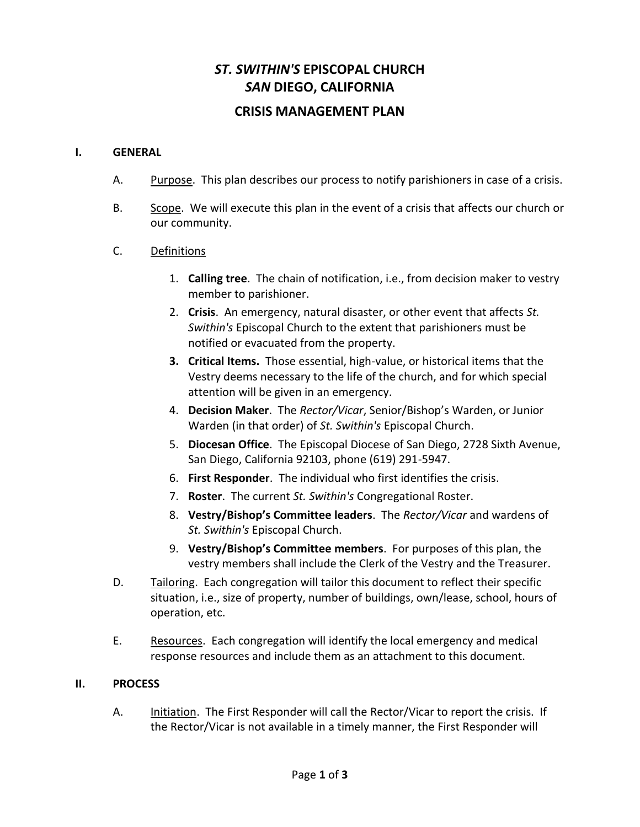# *ST. SWITHIN'S* **EPISCOPAL CHURCH** *SAN* **DIEGO, CALIFORNIA**

# **CRISIS MANAGEMENT PLAN**

### **I. GENERAL**

- A. Purpose. This plan describes our process to notify parishioners in case of a crisis.
- B. Scope. We will execute this plan in the event of a crisis that affects our church or our community.

### C. Definitions

- 1. **Calling tree**. The chain of notification, i.e., from decision maker to vestry member to parishioner.
- 2. **Crisis**. An emergency, natural disaster, or other event that affects *St. Swithin's* Episcopal Church to the extent that parishioners must be notified or evacuated from the property.
- **3. Critical Items.** Those essential, high-value, or historical items that the Vestry deems necessary to the life of the church, and for which special attention will be given in an emergency.
- 4. **Decision Maker**. The *Rector/Vicar*, Senior/Bishop's Warden, or Junior Warden (in that order) of *St. Swithin's* Episcopal Church.
- 5. **Diocesan Office**. The Episcopal Diocese of San Diego, 2728 Sixth Avenue, San Diego, California 92103, phone (619) 291-5947.
- 6. **First Responder**. The individual who first identifies the crisis.
- 7. **Roster**. The current *St. Swithin's* Congregational Roster.
- 8. **Vestry/Bishop's Committee leaders**. The *Rector/Vicar* and wardens of *St. Swithin's* Episcopal Church.
- 9. **Vestry/Bishop's Committee members**. For purposes of this plan, the vestry members shall include the Clerk of the Vestry and the Treasurer.
- D. Tailoring. Each congregation will tailor this document to reflect their specific situation, i.e., size of property, number of buildings, own/lease, school, hours of operation, etc.
- E. Resources. Each congregation will identify the local emergency and medical response resources and include them as an attachment to this document.

#### **II. PROCESS**

A. Initiation. The First Responder will call the Rector/Vicar to report the crisis. If the Rector/Vicar is not available in a timely manner, the First Responder will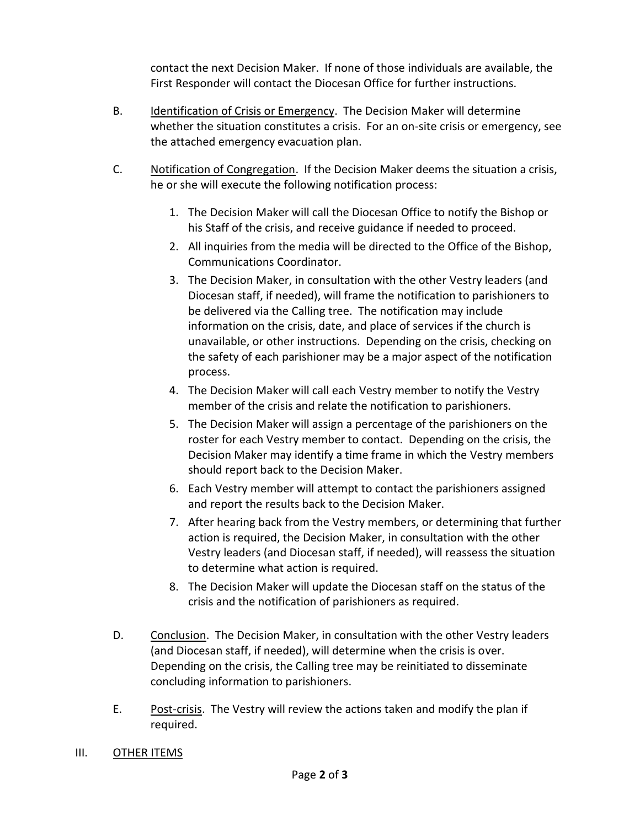contact the next Decision Maker. If none of those individuals are available, the First Responder will contact the Diocesan Office for further instructions.

- B. Identification of Crisis or Emergency. The Decision Maker will determine whether the situation constitutes a crisis. For an on-site crisis or emergency, see the attached emergency evacuation plan.
- C. Notification of Congregation. If the Decision Maker deems the situation a crisis, he or she will execute the following notification process:
	- 1. The Decision Maker will call the Diocesan Office to notify the Bishop or his Staff of the crisis, and receive guidance if needed to proceed.
	- 2. All inquiries from the media will be directed to the Office of the Bishop, Communications Coordinator.
	- 3. The Decision Maker, in consultation with the other Vestry leaders (and Diocesan staff, if needed), will frame the notification to parishioners to be delivered via the Calling tree. The notification may include information on the crisis, date, and place of services if the church is unavailable, or other instructions. Depending on the crisis, checking on the safety of each parishioner may be a major aspect of the notification process.
	- 4. The Decision Maker will call each Vestry member to notify the Vestry member of the crisis and relate the notification to parishioners.
	- 5. The Decision Maker will assign a percentage of the parishioners on the roster for each Vestry member to contact. Depending on the crisis, the Decision Maker may identify a time frame in which the Vestry members should report back to the Decision Maker.
	- 6. Each Vestry member will attempt to contact the parishioners assigned and report the results back to the Decision Maker.
	- 7. After hearing back from the Vestry members, or determining that further action is required, the Decision Maker, in consultation with the other Vestry leaders (and Diocesan staff, if needed), will reassess the situation to determine what action is required.
	- 8. The Decision Maker will update the Diocesan staff on the status of the crisis and the notification of parishioners as required.
- D. Conclusion. The Decision Maker, in consultation with the other Vestry leaders (and Diocesan staff, if needed), will determine when the crisis is over. Depending on the crisis, the Calling tree may be reinitiated to disseminate concluding information to parishioners.
- E. Post-crisis. The Vestry will review the actions taken and modify the plan if required.
- III. OTHER ITEMS